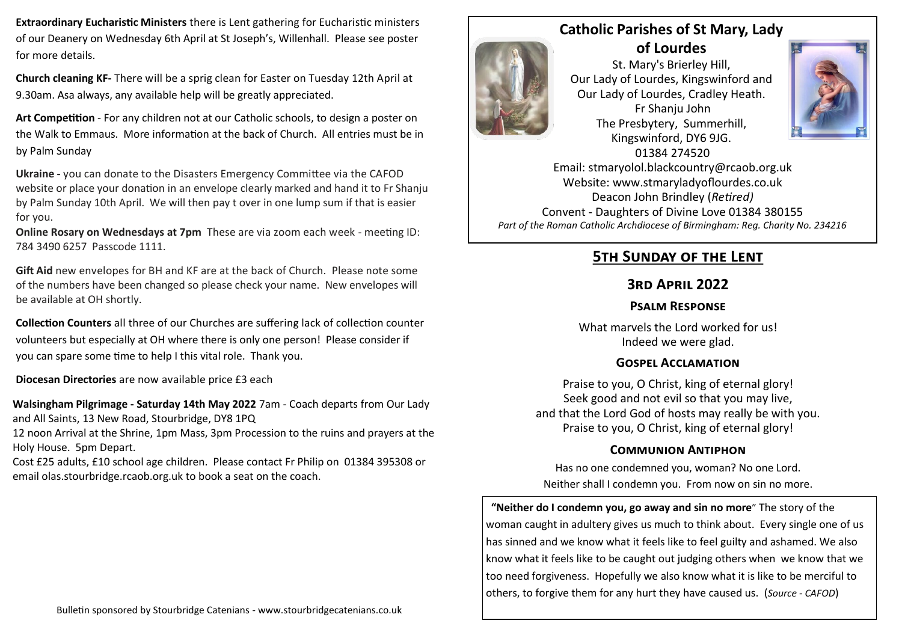**Extraordinary Eucharistic Ministers** there is Lent gathering for Eucharistic ministers of our Deanery on Wednesday 6th April at St Joseph's, Willenhall. Please see poster for more details.

**Church cleaning KF-** There will be a sprig clean for Easter on Tuesday 12th April at 9.30am. Asa always, any available help will be greatly appreciated.

**Art Competition** - For any children not at our Catholic schools, to design a poster on the Walk to Emmaus. More information at the back of Church. All entries must be in by Palm Sunday

**Ukraine -** you can donate to the Disasters Emergency Committee via the CAFOD website or place your donation in an envelope clearly marked and hand it to Fr Shanju by Palm Sunday 10th April. We will then pay t over in one lump sum if that is easier for you.

**Online Rosary on Wednesdays at 7pm** These are via zoom each week - meeting ID: 784 3490 6257 Passcode 1111.

**Gift Aid** new envelopes for BH and KF are at the back of Church. Please note some of the numbers have been changed so please check your name. New envelopes will be available at OH shortly.

**Collection Counters** all three of our Churches are suffering lack of collection counter volunteers but especially at OH where there is only one person! Please consider if you can spare some time to help I this vital role. Thank you.

**Diocesan Directories** are now available price £3 each

**Walsingham Pilgrimage - Saturday 14th May 2022** 7am - Coach departs from Our Lady and All Saints, 13 New Road, Stourbridge, DY8 1PQ

12 noon Arrival at the Shrine, 1pm Mass, 3pm Procession to the ruins and prayers at the Holy House. 5pm Depart.

Cost £25 adults, £10 school age children. Please contact Fr Philip on 01384 395308 or email olas.stourbridge.rcaob.org.uk to book a seat on the coach.

**Catholic Parishes of St Mary, Lady of Lourdes**  St. Mary's Brierley Hill, Our Lady of Lourdes, Kingswinford and Our Lady of Lourdes, Cradley Heath. Fr Shanju John The Presbytery, Summerhill, Kingswinford, DY6 9JG. 01384 274520



Email: stmaryolol.blackcountry@rcaob.org.uk Website: www.stmaryladyoflourdes.co.uk Deacon John Brindley (*Retired)* Convent - Daughters of Divine Love 01384 380155 *Part of the Roman Catholic Archdiocese of Birmingham: Reg. Charity No. 234216*

# **5th Sunday of the Lent**

## **3rd April 2022**

### **Psalm Response**

What marvels the Lord worked for us! Indeed we were glad.

### **Gospel Acclamation**

Praise to you, O Christ, king of eternal glory! Seek good and not evil so that you may live, and that the Lord God of hosts may really be with you. Praise to you, O Christ, king of eternal glory!

### **Communion Antiphon**

Has no one condemned you, woman? No one Lord. Neither shall I condemn you. From now on sin no more.

**"Neither do I condemn you, go away and sin no more**" The story of the woman caught in adultery gives us much to think about. Every single one of us has sinned and we know what it feels like to feel guilty and ashamed. We also know what it feels like to be caught out judging others when we know that we too need forgiveness. Hopefully we also know what it is like to be merciful to others, to forgive them for any hurt they have caused us. (*Source - CAFOD*)